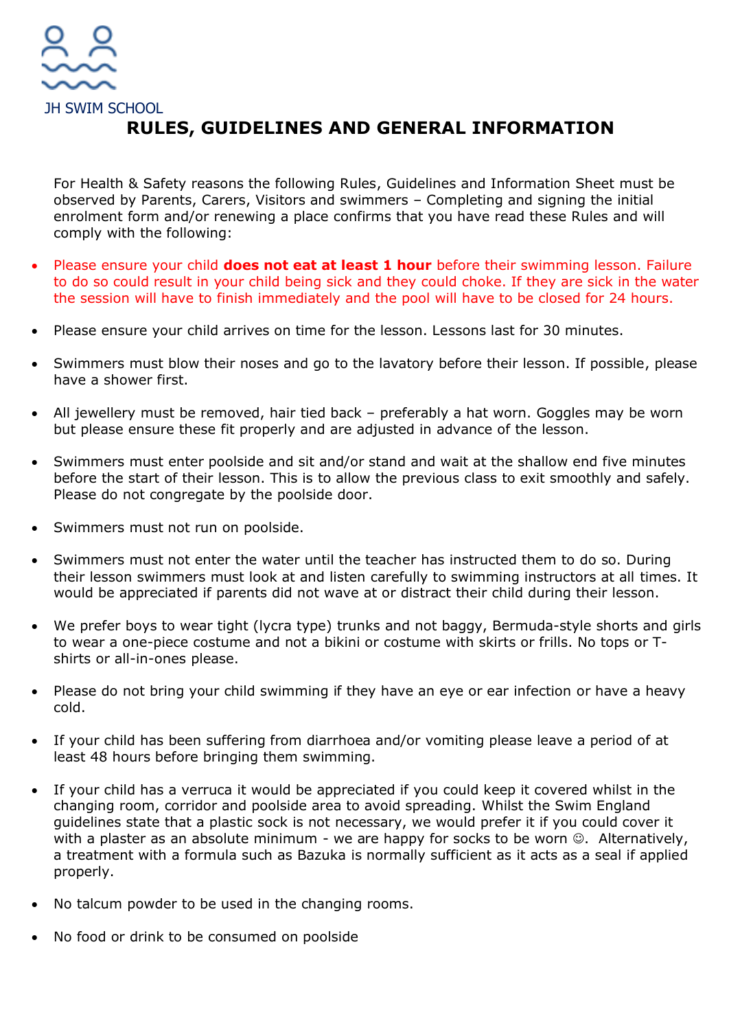

## **RULES, GUIDELINES AND GENERAL INFORMATION**

For Health & Safety reasons the following Rules, Guidelines and Information Sheet must be observed by Parents, Carers, Visitors and swimmers – Completing and signing the initial enrolment form and/or renewing a place confirms that you have read these Rules and will comply with the following:

- Please ensure your child **does not eat at least 1 hour** before their swimming lesson. Failure to do so could result in your child being sick and they could choke. If they are sick in the water the session will have to finish immediately and the pool will have to be closed for 24 hours.
- Please ensure your child arrives on time for the lesson. Lessons last for 30 minutes.
- Swimmers must blow their noses and go to the lavatory before their lesson. If possible, please have a shower first.
- All jewellery must be removed, hair tied back preferably a hat worn. Goggles may be worn but please ensure these fit properly and are adjusted in advance of the lesson.
- Swimmers must enter poolside and sit and/or stand and wait at the shallow end five minutes before the start of their lesson. This is to allow the previous class to exit smoothly and safely. Please do not congregate by the poolside door.
- Swimmers must not run on poolside.
- Swimmers must not enter the water until the teacher has instructed them to do so. During their lesson swimmers must look at and listen carefully to swimming instructors at all times. It would be appreciated if parents did not wave at or distract their child during their lesson.
- We prefer boys to wear tight (lycra type) trunks and not baggy, Bermuda-style shorts and girls to wear a one-piece costume and not a bikini or costume with skirts or frills. No tops or Tshirts or all-in-ones please.
- Please do not bring your child swimming if they have an eye or ear infection or have a heavy cold.
- If your child has been suffering from diarrhoea and/or vomiting please leave a period of at least 48 hours before bringing them swimming.
- If your child has a verruca it would be appreciated if you could keep it covered whilst in the changing room, corridor and poolside area to avoid spreading. Whilst the Swim England guidelines state that a plastic sock is not necessary, we would prefer it if you could cover it with a plaster as an absolute minimum - we are happy for socks to be worn  $\odot$ . Alternatively, a treatment with a formula such as Bazuka is normally sufficient as it acts as a seal if applied properly.
- No talcum powder to be used in the changing rooms.
- No food or drink to be consumed on poolside